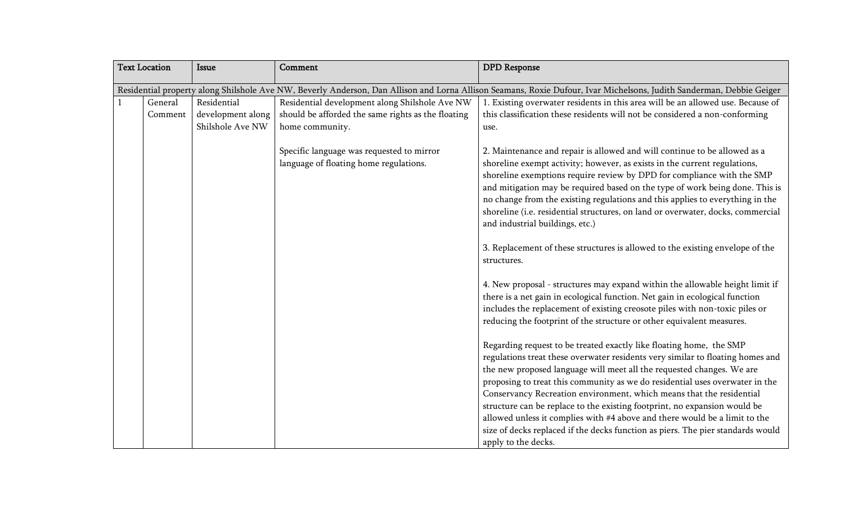| <b>Text Location</b> |                                                                                                                                                                      | <b>Issue</b>                                         | Comment                                                                                                                 | <b>DPD</b> Response                                                                                                                                                                                                                                                                                                                                                                                                                                                                                                                                                                                                                                                                                                                                                                                                                                                                                |  |  |
|----------------------|----------------------------------------------------------------------------------------------------------------------------------------------------------------------|------------------------------------------------------|-------------------------------------------------------------------------------------------------------------------------|----------------------------------------------------------------------------------------------------------------------------------------------------------------------------------------------------------------------------------------------------------------------------------------------------------------------------------------------------------------------------------------------------------------------------------------------------------------------------------------------------------------------------------------------------------------------------------------------------------------------------------------------------------------------------------------------------------------------------------------------------------------------------------------------------------------------------------------------------------------------------------------------------|--|--|
|                      | Residential property along Shilshole Ave NW, Beverly Anderson, Dan Allison and Lorna Allison Seamans, Roxie Dufour, Ivar Michelsons, Judith Sanderman, Debbie Geiger |                                                      |                                                                                                                         |                                                                                                                                                                                                                                                                                                                                                                                                                                                                                                                                                                                                                                                                                                                                                                                                                                                                                                    |  |  |
|                      | General<br>Comment                                                                                                                                                   | Residential<br>development along<br>Shilshole Ave NW | Residential development along Shilshole Ave NW<br>should be afforded the same rights as the floating<br>home community. | 1. Existing overwater residents in this area will be an allowed use. Because of<br>this classification these residents will not be considered a non-conforming<br>use.                                                                                                                                                                                                                                                                                                                                                                                                                                                                                                                                                                                                                                                                                                                             |  |  |
|                      |                                                                                                                                                                      |                                                      | Specific language was requested to mirror<br>language of floating home regulations.                                     | 2. Maintenance and repair is allowed and will continue to be allowed as a<br>shoreline exempt activity; however, as exists in the current regulations,<br>shoreline exemptions require review by DPD for compliance with the SMP<br>and mitigation may be required based on the type of work being done. This is<br>no change from the existing regulations and this applies to everything in the<br>shoreline (i.e. residential structures, on land or overwater, docks, commercial<br>and industrial buildings, etc.)<br>3. Replacement of these structures is allowed to the existing envelope of the<br>structures.<br>4. New proposal - structures may expand within the allowable height limit if                                                                                                                                                                                            |  |  |
|                      |                                                                                                                                                                      |                                                      |                                                                                                                         | there is a net gain in ecological function. Net gain in ecological function<br>includes the replacement of existing creosote piles with non-toxic piles or<br>reducing the footprint of the structure or other equivalent measures.<br>Regarding request to be treated exactly like floating home, the SMP<br>regulations treat these overwater residents very similar to floating homes and<br>the new proposed language will meet all the requested changes. We are<br>proposing to treat this community as we do residential uses overwater in the<br>Conservancy Recreation environment, which means that the residential<br>structure can be replace to the existing footprint, no expansion would be<br>allowed unless it complies with #4 above and there would be a limit to the<br>size of decks replaced if the decks function as piers. The pier standards would<br>apply to the decks. |  |  |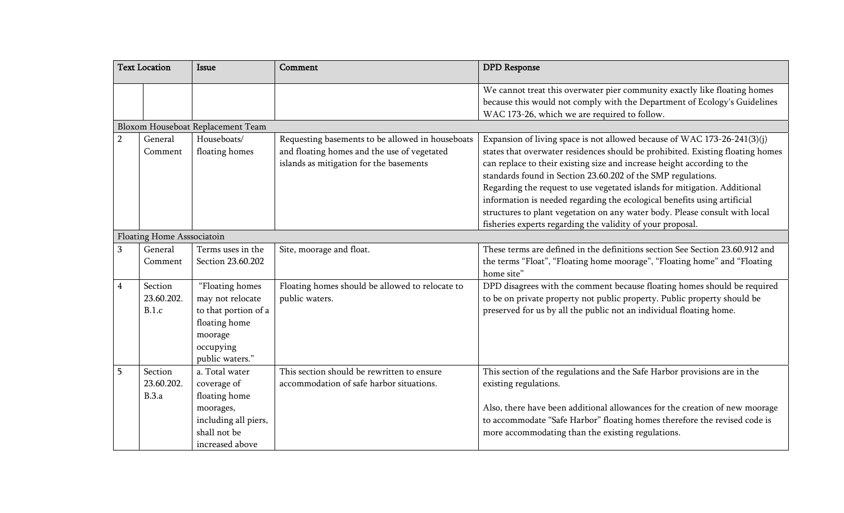|                | <b>Text Location</b>           | <b>Issue</b>                                                                                                            | Comment                                                                                                                                    | <b>DPD</b> Response                                                                                                                                                                                                                                                                                                                                                                                                                                                                                                                           |
|----------------|--------------------------------|-------------------------------------------------------------------------------------------------------------------------|--------------------------------------------------------------------------------------------------------------------------------------------|-----------------------------------------------------------------------------------------------------------------------------------------------------------------------------------------------------------------------------------------------------------------------------------------------------------------------------------------------------------------------------------------------------------------------------------------------------------------------------------------------------------------------------------------------|
|                |                                |                                                                                                                         |                                                                                                                                            | We cannot treat this overwater pier community exactly like floating homes<br>because this would not comply with the Department of Ecology's Guidelines<br>WAC 173-26, which we are required to follow.                                                                                                                                                                                                                                                                                                                                        |
|                |                                | Bloxom Houseboat Replacement Team                                                                                       |                                                                                                                                            |                                                                                                                                                                                                                                                                                                                                                                                                                                                                                                                                               |
| $\overline{2}$ | General<br>Comment             | Houseboats/<br>floating homes                                                                                           | Requesting basements to be allowed in houseboats<br>and floating homes and the use of vegetated<br>islands as mitigation for the basements | Expansion of living space is not allowed because of WAC 173-26-241(3)(j)<br>states that overwater residences should be prohibited. Existing floating homes<br>can replace to their existing size and increase height according to the<br>standards found in Section 23.60.202 of the SMP regulations.<br>Regarding the request to use vegetated islands for mitigation. Additional<br>information is needed regarding the ecological benefits using artificial<br>structures to plant vegetation on any water body. Please consult with local |
|                | Floating Home Asssociatoin     |                                                                                                                         |                                                                                                                                            | fisheries experts regarding the validity of your proposal.                                                                                                                                                                                                                                                                                                                                                                                                                                                                                    |
| 3              | General<br>Comment             | Terms uses in the<br>Section 23.60.202                                                                                  | Site, moorage and float.                                                                                                                   | These terms are defined in the definitions section See Section 23.60.912 and<br>the terms "Float", "Floating home moorage", "Floating home" and "Floating<br>home site"                                                                                                                                                                                                                                                                                                                                                                       |
| 4              | Section<br>23.60.202.<br>B.1.c | "Floating homes<br>may not relocate<br>to that portion of a<br>floating home<br>moorage<br>occupying<br>public waters." | Floating homes should be allowed to relocate to<br>public waters.                                                                          | DPD disagrees with the comment because floating homes should be required<br>to be on private property not public property. Public property should be<br>preserved for us by all the public not an individual floating home.                                                                                                                                                                                                                                                                                                                   |
| 5              | Section<br>23.60.202.<br>B.3.a | a. Total water<br>coverage of<br>floating home<br>moorages,<br>including all piers,<br>shall not be<br>increased above  | This section should be rewritten to ensure<br>accommodation of safe harbor situations.                                                     | This section of the regulations and the Safe Harbor provisions are in the<br>existing regulations.<br>Also, there have been additional allowances for the creation of new moorage<br>to accommodate "Safe Harbor" floating homes therefore the revised code is<br>more accommodating than the existing regulations.                                                                                                                                                                                                                           |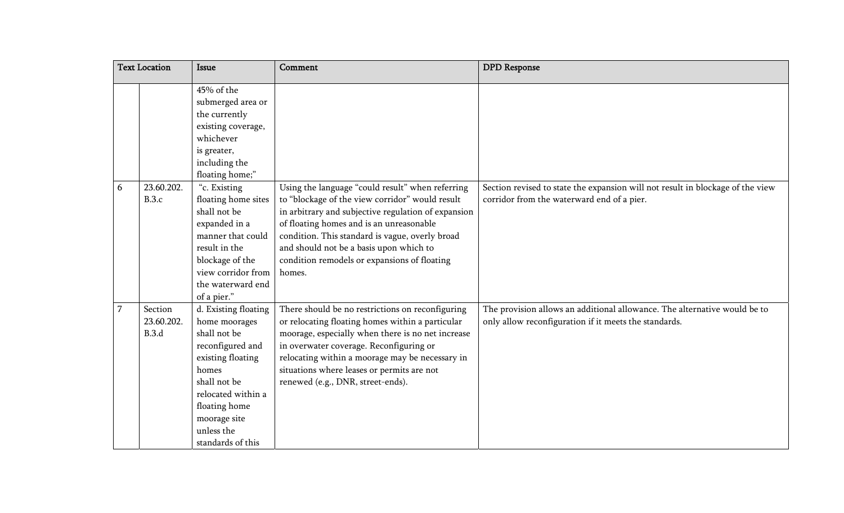|                | <b>Text Location</b>           | Issue                                                                                                                                                                                                             | Comment                                                                                                                                                                                                                                                                                                                                                        | <b>DPD</b> Response                                                                                                                |
|----------------|--------------------------------|-------------------------------------------------------------------------------------------------------------------------------------------------------------------------------------------------------------------|----------------------------------------------------------------------------------------------------------------------------------------------------------------------------------------------------------------------------------------------------------------------------------------------------------------------------------------------------------------|------------------------------------------------------------------------------------------------------------------------------------|
|                |                                | 45% of the<br>submerged area or<br>the currently<br>existing coverage,<br>whichever<br>is greater,<br>including the<br>floating home;"                                                                            |                                                                                                                                                                                                                                                                                                                                                                |                                                                                                                                    |
| 6              | 23.60.202.<br>B.3.c            | "c. Existing<br>floating home sites<br>shall not be<br>expanded in a<br>manner that could<br>result in the<br>blockage of the<br>view corridor from<br>the waterward end<br>of a pier."                           | Using the language "could result" when referring<br>to "blockage of the view corridor" would result<br>in arbitrary and subjective regulation of expansion<br>of floating homes and is an unreasonable<br>condition. This standard is vague, overly broad<br>and should not be a basis upon which to<br>condition remodels or expansions of floating<br>homes. | Section revised to state the expansion will not result in blockage of the view<br>corridor from the waterward end of a pier.       |
| $\overline{7}$ | Section<br>23.60.202.<br>B.3.d | d. Existing floating<br>home moorages<br>shall not be<br>reconfigured and<br>existing floating<br>homes<br>shall not be<br>relocated within a<br>floating home<br>moorage site<br>unless the<br>standards of this | There should be no restrictions on reconfiguring<br>or relocating floating homes within a particular<br>moorage, especially when there is no net increase<br>in overwater coverage. Reconfiguring or<br>relocating within a moorage may be necessary in<br>situations where leases or permits are not<br>renewed (e.g., DNR, street-ends).                     | The provision allows an additional allowance. The alternative would be to<br>only allow reconfiguration if it meets the standards. |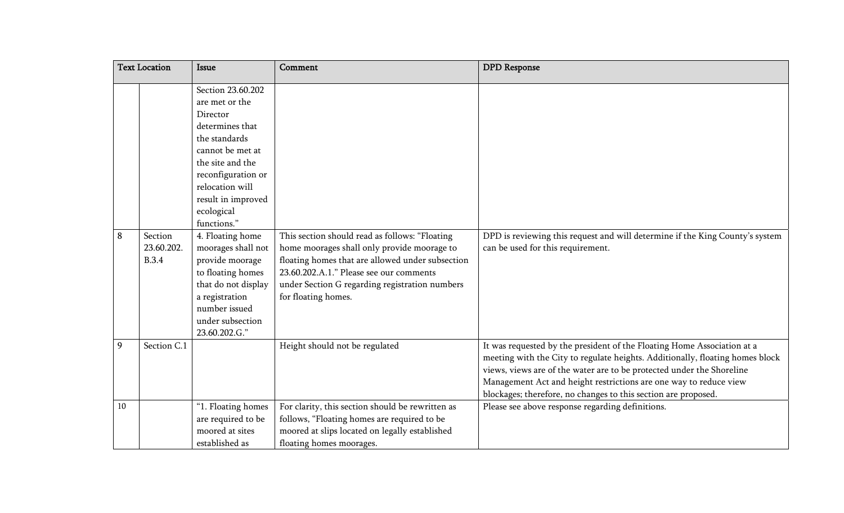|    | <b>Text Location</b>                  | Issue                                                                                                                                                                                                    | Comment                                                                                                                                                                                                                                                               | <b>DPD</b> Response                                                                                                                                                                                                                                                                                                                                                      |
|----|---------------------------------------|----------------------------------------------------------------------------------------------------------------------------------------------------------------------------------------------------------|-----------------------------------------------------------------------------------------------------------------------------------------------------------------------------------------------------------------------------------------------------------------------|--------------------------------------------------------------------------------------------------------------------------------------------------------------------------------------------------------------------------------------------------------------------------------------------------------------------------------------------------------------------------|
|    |                                       | Section 23.60.202<br>are met or the<br>Director<br>determines that<br>the standards<br>cannot be met at<br>the site and the<br>reconfiguration or<br>relocation will<br>result in improved<br>ecological |                                                                                                                                                                                                                                                                       |                                                                                                                                                                                                                                                                                                                                                                          |
| 8  | Section<br>23.60.202.<br><b>B.3.4</b> | functions."<br>4. Floating home<br>moorages shall not<br>provide moorage<br>to floating homes<br>that do not display<br>a registration<br>number issued<br>under subsection<br>23.60.202.G."             | This section should read as follows: "Floating<br>home moorages shall only provide moorage to<br>floating homes that are allowed under subsection<br>23.60.202.A.1." Please see our comments<br>under Section G regarding registration numbers<br>for floating homes. | DPD is reviewing this request and will determine if the King County's system<br>can be used for this requirement.                                                                                                                                                                                                                                                        |
| 9  | Section C.1                           |                                                                                                                                                                                                          | Height should not be regulated                                                                                                                                                                                                                                        | It was requested by the president of the Floating Home Association at a<br>meeting with the City to regulate heights. Additionally, floating homes block<br>views, views are of the water are to be protected under the Shoreline<br>Management Act and height restrictions are one way to reduce view<br>blockages; therefore, no changes to this section are proposed. |
| 10 |                                       | "1. Floating homes<br>are required to be<br>moored at sites<br>established as                                                                                                                            | For clarity, this section should be rewritten as<br>follows, "Floating homes are required to be<br>moored at slips located on legally established<br>floating homes moorages.                                                                                         | Please see above response regarding definitions.                                                                                                                                                                                                                                                                                                                         |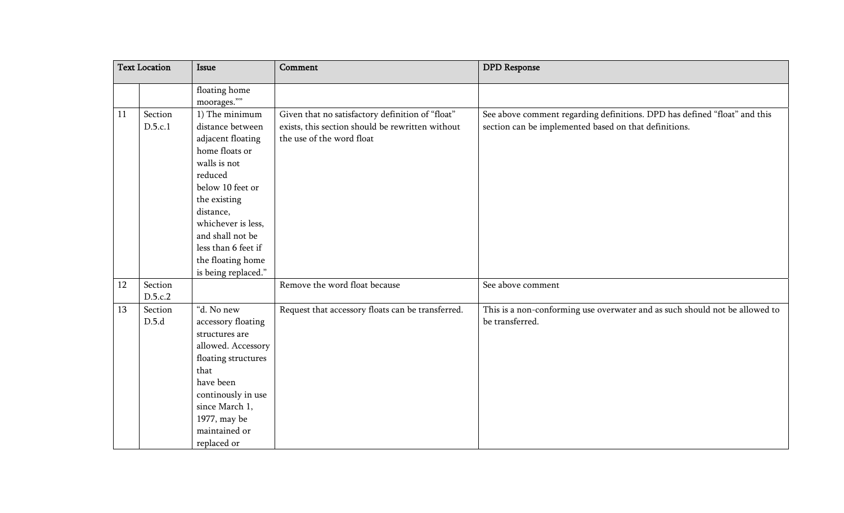| <b>Text Location</b> |         | Issue               | Comment                                           | <b>DPD</b> Response                                                         |
|----------------------|---------|---------------------|---------------------------------------------------|-----------------------------------------------------------------------------|
|                      |         | floating home       |                                                   |                                                                             |
|                      |         | moorages.""         |                                                   |                                                                             |
| 11                   | Section | 1) The minimum      | Given that no satisfactory definition of "float"  | See above comment regarding definitions. DPD has defined "float" and this   |
|                      | D.5.c.1 | distance between    | exists, this section should be rewritten without  | section can be implemented based on that definitions.                       |
|                      |         | adjacent floating   | the use of the word float                         |                                                                             |
|                      |         | home floats or      |                                                   |                                                                             |
|                      |         | walls is not        |                                                   |                                                                             |
|                      |         | reduced             |                                                   |                                                                             |
|                      |         | below 10 feet or    |                                                   |                                                                             |
|                      |         | the existing        |                                                   |                                                                             |
|                      |         | distance,           |                                                   |                                                                             |
|                      |         | whichever is less,  |                                                   |                                                                             |
|                      |         | and shall not be    |                                                   |                                                                             |
|                      |         | less than 6 feet if |                                                   |                                                                             |
|                      |         | the floating home   |                                                   |                                                                             |
|                      |         | is being replaced." |                                                   |                                                                             |
| 12                   | Section |                     | Remove the word float because                     | See above comment                                                           |
|                      | D.5.c.2 |                     |                                                   |                                                                             |
| 13                   | Section | "d. No new          | Request that accessory floats can be transferred. | This is a non-conforming use overwater and as such should not be allowed to |
|                      | D.5.d   | accessory floating  |                                                   | be transferred.                                                             |
|                      |         | structures are      |                                                   |                                                                             |
|                      |         | allowed. Accessory  |                                                   |                                                                             |
|                      |         | floating structures |                                                   |                                                                             |
|                      |         | that                |                                                   |                                                                             |
|                      |         | have been           |                                                   |                                                                             |
|                      |         | continously in use  |                                                   |                                                                             |
|                      |         | since March 1,      |                                                   |                                                                             |
|                      |         | 1977, may be        |                                                   |                                                                             |
|                      |         | maintained or       |                                                   |                                                                             |
|                      |         | replaced or         |                                                   |                                                                             |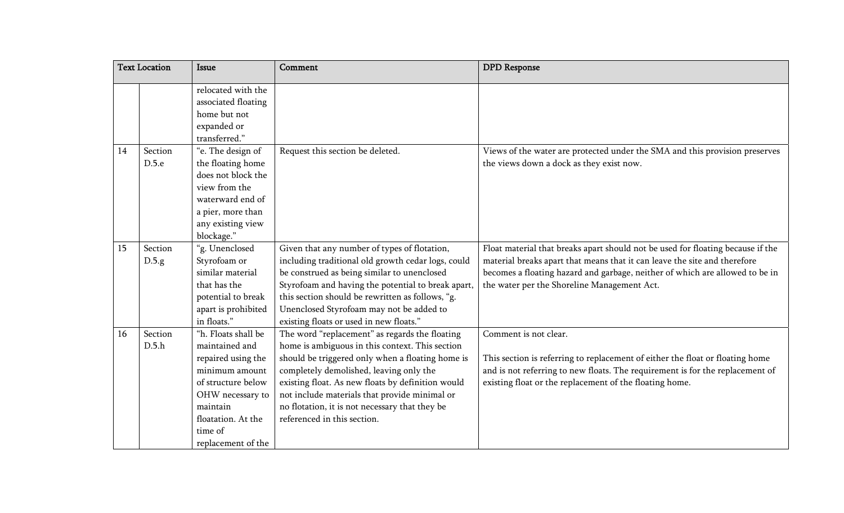|    | <b>Text Location</b> | <b>Issue</b>                                                                                                                                                                               | Comment                                                                                                                                                                                                                                                                                                                                                                                 | <b>DPD</b> Response                                                                                                                                                                                                                                                                         |
|----|----------------------|--------------------------------------------------------------------------------------------------------------------------------------------------------------------------------------------|-----------------------------------------------------------------------------------------------------------------------------------------------------------------------------------------------------------------------------------------------------------------------------------------------------------------------------------------------------------------------------------------|---------------------------------------------------------------------------------------------------------------------------------------------------------------------------------------------------------------------------------------------------------------------------------------------|
|    |                      | relocated with the<br>associated floating<br>home but not<br>expanded or<br>transferred."                                                                                                  |                                                                                                                                                                                                                                                                                                                                                                                         |                                                                                                                                                                                                                                                                                             |
| 14 | Section<br>D.5.e     | "e. The design of<br>the floating home<br>does not block the<br>view from the<br>waterward end of<br>a pier, more than<br>any existing view<br>blockage."                                  | Request this section be deleted.                                                                                                                                                                                                                                                                                                                                                        | Views of the water are protected under the SMA and this provision preserves<br>the views down a dock as they exist now.                                                                                                                                                                     |
| 15 | Section<br>D.5.g     | "g. Unenclosed<br>Styrofoam or<br>similar material<br>that has the<br>potential to break<br>apart is prohibited<br>in floats."                                                             | Given that any number of types of flotation,<br>including traditional old growth cedar logs, could<br>be construed as being similar to unenclosed<br>Styrofoam and having the potential to break apart,<br>this section should be rewritten as follows, "g.<br>Unenclosed Styrofoam may not be added to<br>existing floats or used in new floats."                                      | Float material that breaks apart should not be used for floating because if the<br>material breaks apart that means that it can leave the site and therefore<br>becomes a floating hazard and garbage, neither of which are allowed to be in<br>the water per the Shoreline Management Act. |
| 16 | Section<br>D.5.h     | "h. Floats shall be<br>maintained and<br>repaired using the<br>minimum amount<br>of structure below<br>OHW necessary to<br>maintain<br>floatation. At the<br>time of<br>replacement of the | The word "replacement" as regards the floating<br>home is ambiguous in this context. This section<br>should be triggered only when a floating home is<br>completely demolished, leaving only the<br>existing float. As new floats by definition would<br>not include materials that provide minimal or<br>no flotation, it is not necessary that they be<br>referenced in this section. | Comment is not clear.<br>This section is referring to replacement of either the float or floating home<br>and is not referring to new floats. The requirement is for the replacement of<br>existing float or the replacement of the floating home.                                          |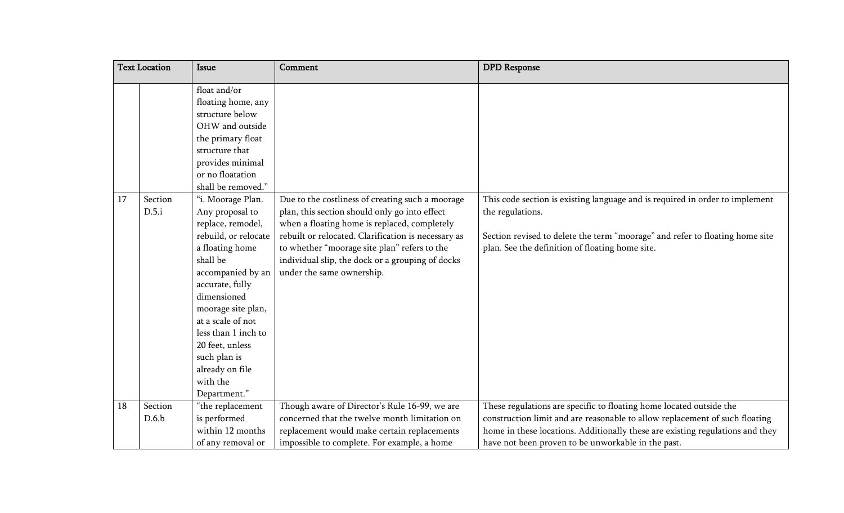|    | <b>Text Location</b> | Issue                                                                                                                                                                                                                                                                                                                                                                                                                                                                                                        | Comment                                                                                                                                                                                                                                                                                                                                   | <b>DPD</b> Response                                                                                                                                                                                                                                                                       |
|----|----------------------|--------------------------------------------------------------------------------------------------------------------------------------------------------------------------------------------------------------------------------------------------------------------------------------------------------------------------------------------------------------------------------------------------------------------------------------------------------------------------------------------------------------|-------------------------------------------------------------------------------------------------------------------------------------------------------------------------------------------------------------------------------------------------------------------------------------------------------------------------------------------|-------------------------------------------------------------------------------------------------------------------------------------------------------------------------------------------------------------------------------------------------------------------------------------------|
| 17 | Section<br>D.5.i     | float and/or<br>floating home, any<br>structure below<br>OHW and outside<br>the primary float<br>structure that<br>provides minimal<br>or no floatation<br>shall be removed."<br>"i. Moorage Plan.<br>Any proposal to<br>replace, remodel,<br>rebuild, or relocate<br>a floating home<br>shall be<br>accompanied by an<br>accurate, fully<br>dimensioned<br>moorage site plan,<br>at a scale of not<br>less than 1 inch to<br>20 feet, unless<br>such plan is<br>already on file<br>with the<br>Department." | Due to the costliness of creating such a moorage<br>plan, this section should only go into effect<br>when a floating home is replaced, completely<br>rebuilt or relocated. Clarification is necessary as<br>to whether "moorage site plan" refers to the<br>individual slip, the dock or a grouping of docks<br>under the same ownership. | This code section is existing language and is required in order to implement<br>the regulations.<br>Section revised to delete the term "moorage" and refer to floating home site<br>plan. See the definition of floating home site.                                                       |
| 18 | Section<br>D.6.b     | "the replacement<br>is performed<br>within 12 months<br>of any removal or                                                                                                                                                                                                                                                                                                                                                                                                                                    | Though aware of Director's Rule 16-99, we are<br>concerned that the twelve month limitation on<br>replacement would make certain replacements<br>impossible to complete. For example, a home                                                                                                                                              | These regulations are specific to floating home located outside the<br>construction limit and are reasonable to allow replacement of such floating<br>home in these locations. Additionally these are existing regulations and they<br>have not been proven to be unworkable in the past. |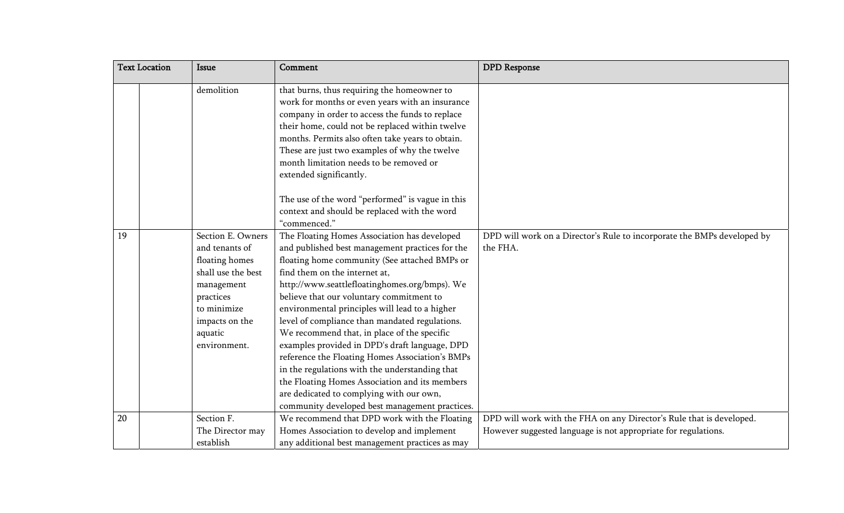|    | <b>Text Location</b> | <b>Issue</b>                        | Comment                                                                                                                                                                                                                                                                                                                                                                         | <b>DPD</b> Response                                                                 |
|----|----------------------|-------------------------------------|---------------------------------------------------------------------------------------------------------------------------------------------------------------------------------------------------------------------------------------------------------------------------------------------------------------------------------------------------------------------------------|-------------------------------------------------------------------------------------|
|    |                      | demolition                          | that burns, thus requiring the homeowner to<br>work for months or even years with an insurance<br>company in order to access the funds to replace<br>their home, could not be replaced within twelve<br>months. Permits also often take years to obtain.<br>These are just two examples of why the twelve<br>month limitation needs to be removed or<br>extended significantly. |                                                                                     |
|    |                      |                                     | The use of the word "performed" is vague in this<br>context and should be replaced with the word<br>"commenced."                                                                                                                                                                                                                                                                |                                                                                     |
| 19 |                      | Section E. Owners<br>and tenants of | The Floating Homes Association has developed<br>and published best management practices for the                                                                                                                                                                                                                                                                                 | DPD will work on a Director's Rule to incorporate the BMPs developed by<br>the FHA. |
|    |                      | floating homes                      | floating home community (See attached BMPs or                                                                                                                                                                                                                                                                                                                                   |                                                                                     |
|    |                      | shall use the best                  | find them on the internet at,                                                                                                                                                                                                                                                                                                                                                   |                                                                                     |
|    |                      | management                          | http://www.seattlefloatinghomes.org/bmps). We                                                                                                                                                                                                                                                                                                                                   |                                                                                     |
|    |                      | practices                           | believe that our voluntary commitment to                                                                                                                                                                                                                                                                                                                                        |                                                                                     |
|    |                      | to minimize                         | environmental principles will lead to a higher                                                                                                                                                                                                                                                                                                                                  |                                                                                     |
|    |                      | impacts on the                      | level of compliance than mandated regulations.                                                                                                                                                                                                                                                                                                                                  |                                                                                     |
|    |                      | aquatic                             | We recommend that, in place of the specific                                                                                                                                                                                                                                                                                                                                     |                                                                                     |
|    |                      | environment.                        | examples provided in DPD's draft language, DPD                                                                                                                                                                                                                                                                                                                                  |                                                                                     |
|    |                      |                                     | reference the Floating Homes Association's BMPs<br>in the regulations with the understanding that                                                                                                                                                                                                                                                                               |                                                                                     |
|    |                      |                                     | the Floating Homes Association and its members                                                                                                                                                                                                                                                                                                                                  |                                                                                     |
|    |                      |                                     | are dedicated to complying with our own,                                                                                                                                                                                                                                                                                                                                        |                                                                                     |
|    |                      |                                     | community developed best management practices.                                                                                                                                                                                                                                                                                                                                  |                                                                                     |
| 20 |                      | Section F.                          | We recommend that DPD work with the Floating                                                                                                                                                                                                                                                                                                                                    | DPD will work with the FHA on any Director's Rule that is developed.                |
|    |                      | The Director may                    | Homes Association to develop and implement                                                                                                                                                                                                                                                                                                                                      | However suggested language is not appropriate for regulations.                      |
|    |                      | establish                           | any additional best management practices as may                                                                                                                                                                                                                                                                                                                                 |                                                                                     |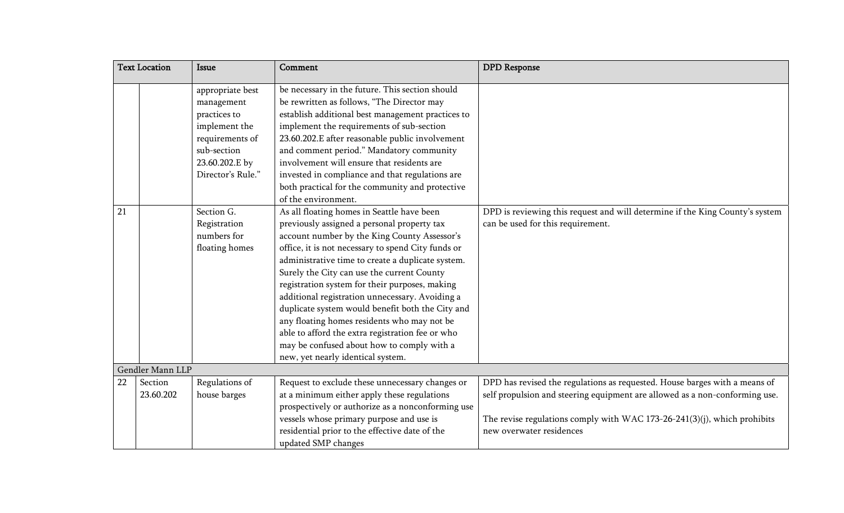|    | <b>Text Location</b> | <b>Issue</b>      | Comment                                            | <b>DPD</b> Response                                                          |
|----|----------------------|-------------------|----------------------------------------------------|------------------------------------------------------------------------------|
|    |                      | appropriate best  | be necessary in the future. This section should    |                                                                              |
|    |                      | management        | be rewritten as follows, "The Director may         |                                                                              |
|    |                      | practices to      | establish additional best management practices to  |                                                                              |
|    |                      | implement the     | implement the requirements of sub-section          |                                                                              |
|    |                      | requirements of   | 23.60.202.E after reasonable public involvement    |                                                                              |
|    |                      | sub-section       | and comment period." Mandatory community           |                                                                              |
|    |                      | 23.60.202.E by    | involvement will ensure that residents are         |                                                                              |
|    |                      | Director's Rule." | invested in compliance and that regulations are    |                                                                              |
|    |                      |                   | both practical for the community and protective    |                                                                              |
|    |                      |                   | of the environment.                                |                                                                              |
| 21 |                      | Section G.        | As all floating homes in Seattle have been         | DPD is reviewing this request and will determine if the King County's system |
|    |                      | Registration      | previously assigned a personal property tax        | can be used for this requirement.                                            |
|    |                      | numbers for       | account number by the King County Assessor's       |                                                                              |
|    |                      | floating homes    | office, it is not necessary to spend City funds or |                                                                              |
|    |                      |                   | administrative time to create a duplicate system.  |                                                                              |
|    |                      |                   | Surely the City can use the current County         |                                                                              |
|    |                      |                   | registration system for their purposes, making     |                                                                              |
|    |                      |                   | additional registration unnecessary. Avoiding a    |                                                                              |
|    |                      |                   | duplicate system would benefit both the City and   |                                                                              |
|    |                      |                   | any floating homes residents who may not be        |                                                                              |
|    |                      |                   | able to afford the extra registration fee or who   |                                                                              |
|    |                      |                   | may be confused about how to comply with a         |                                                                              |
|    |                      |                   | new, yet nearly identical system.                  |                                                                              |
|    | Gendler Mann LLP     |                   |                                                    |                                                                              |
| 22 | Section              | Regulations of    | Request to exclude these unnecessary changes or    | DPD has revised the regulations as requested. House barges with a means of   |
|    | 23.60.202            | house barges      | at a minimum either apply these regulations        | self propulsion and steering equipment are allowed as a non-conforming use.  |
|    |                      |                   | prospectively or authorize as a nonconforming use  |                                                                              |
|    |                      |                   | vessels whose primary purpose and use is           | The revise regulations comply with WAC 173-26-241(3)(j), which prohibits     |
|    |                      |                   | residential prior to the effective date of the     | new overwater residences                                                     |
|    |                      |                   | updated SMP changes                                |                                                                              |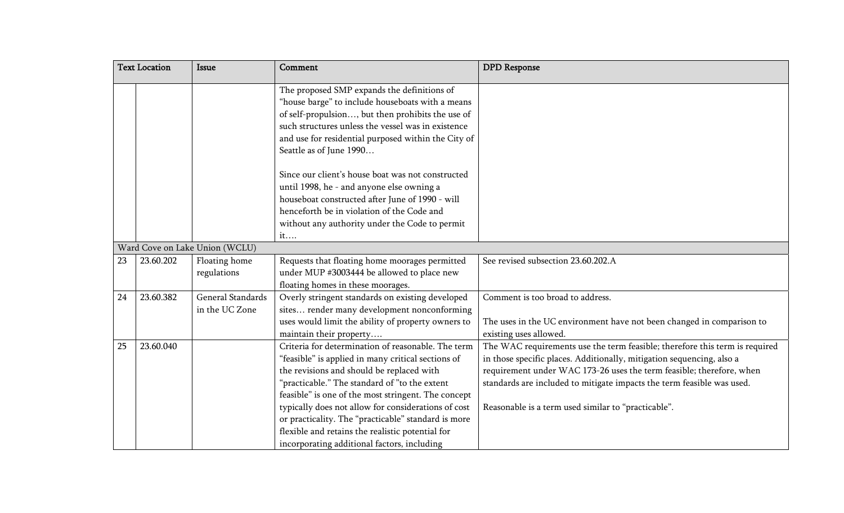|    | <b>Text Location</b> | <b>Issue</b>                        | Comment                                                                                                                                                                                                                                                                                                                                                                                                                                                                        | <b>DPD</b> Response                                                                                                                                                                                                                                                                                                                                           |
|----|----------------------|-------------------------------------|--------------------------------------------------------------------------------------------------------------------------------------------------------------------------------------------------------------------------------------------------------------------------------------------------------------------------------------------------------------------------------------------------------------------------------------------------------------------------------|---------------------------------------------------------------------------------------------------------------------------------------------------------------------------------------------------------------------------------------------------------------------------------------------------------------------------------------------------------------|
|    |                      |                                     | The proposed SMP expands the definitions of<br>"house barge" to include houseboats with a means<br>of self-propulsion, but then prohibits the use of<br>such structures unless the vessel was in existence<br>and use for residential purposed within the City of<br>Seattle as of June 1990                                                                                                                                                                                   |                                                                                                                                                                                                                                                                                                                                                               |
|    |                      |                                     | Since our client's house boat was not constructed<br>until 1998, he - and anyone else owning a<br>houseboat constructed after June of 1990 - will<br>henceforth be in violation of the Code and<br>without any authority under the Code to permit<br>it                                                                                                                                                                                                                        |                                                                                                                                                                                                                                                                                                                                                               |
|    |                      | Ward Cove on Lake Union (WCLU)      |                                                                                                                                                                                                                                                                                                                                                                                                                                                                                |                                                                                                                                                                                                                                                                                                                                                               |
| 23 | 23.60.202            | Floating home<br>regulations        | Requests that floating home moorages permitted<br>under MUP #3003444 be allowed to place new<br>floating homes in these moorages.                                                                                                                                                                                                                                                                                                                                              | See revised subsection 23.60.202.A                                                                                                                                                                                                                                                                                                                            |
| 24 | 23.60.382            | General Standards<br>in the UC Zone | Overly stringent standards on existing developed<br>sites render many development nonconforming<br>uses would limit the ability of property owners to<br>maintain their property                                                                                                                                                                                                                                                                                               | Comment is too broad to address.<br>The uses in the UC environment have not been changed in comparison to<br>existing uses allowed.                                                                                                                                                                                                                           |
| 25 | 23.60.040            |                                     | Criteria for determination of reasonable. The term<br>"feasible" is applied in many critical sections of<br>the revisions and should be replaced with<br>"practicable." The standard of "to the extent<br>feasible" is one of the most stringent. The concept<br>typically does not allow for considerations of cost<br>or practicality. The "practicable" standard is more<br>flexible and retains the realistic potential for<br>incorporating additional factors, including | The WAC requirements use the term feasible; therefore this term is required<br>in those specific places. Additionally, mitigation sequencing, also a<br>requirement under WAC 173-26 uses the term feasible; therefore, when<br>standards are included to mitigate impacts the term feasible was used.<br>Reasonable is a term used similar to "practicable". |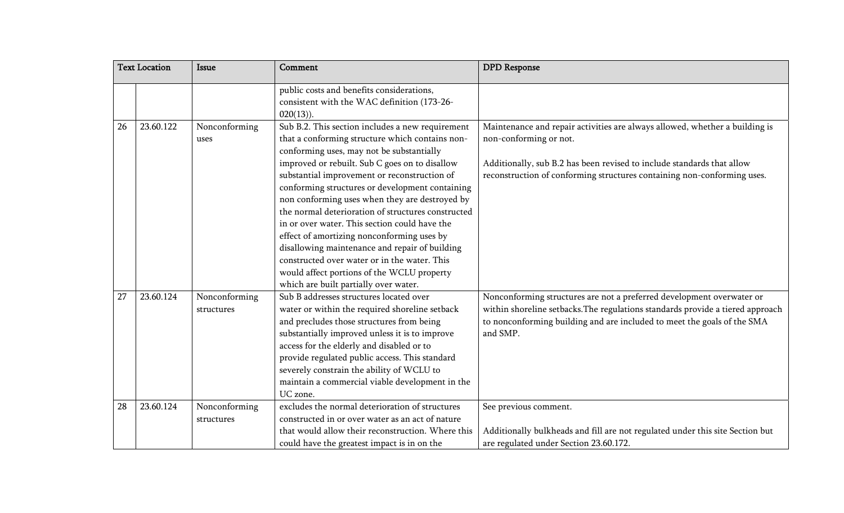|    | <b>Text Location</b> | <b>Issue</b>                | Comment                                                                                                                                                                                                                                                                                                                                                                                                                                                                                                                                                                                                                                                                                               | <b>DPD</b> Response                                                                                                                                                                                                                                        |
|----|----------------------|-----------------------------|-------------------------------------------------------------------------------------------------------------------------------------------------------------------------------------------------------------------------------------------------------------------------------------------------------------------------------------------------------------------------------------------------------------------------------------------------------------------------------------------------------------------------------------------------------------------------------------------------------------------------------------------------------------------------------------------------------|------------------------------------------------------------------------------------------------------------------------------------------------------------------------------------------------------------------------------------------------------------|
|    |                      |                             | public costs and benefits considerations,<br>consistent with the WAC definition (173-26-<br>$020(13)$ ).                                                                                                                                                                                                                                                                                                                                                                                                                                                                                                                                                                                              |                                                                                                                                                                                                                                                            |
| 26 | 23.60.122            | Nonconforming<br>uses       | Sub B.2. This section includes a new requirement<br>that a conforming structure which contains non-<br>conforming uses, may not be substantially<br>improved or rebuilt. Sub C goes on to disallow<br>substantial improvement or reconstruction of<br>conforming structures or development containing<br>non conforming uses when they are destroyed by<br>the normal deterioration of structures constructed<br>in or over water. This section could have the<br>effect of amortizing nonconforming uses by<br>disallowing maintenance and repair of building<br>constructed over water or in the water. This<br>would affect portions of the WCLU property<br>which are built partially over water. | Maintenance and repair activities are always allowed, whether a building is<br>non-conforming or not.<br>Additionally, sub B.2 has been revised to include standards that allow<br>reconstruction of conforming structures containing non-conforming uses. |
| 27 | 23.60.124            | Nonconforming<br>structures | Sub B addresses structures located over<br>water or within the required shoreline setback<br>and precludes those structures from being<br>substantially improved unless it is to improve<br>access for the elderly and disabled or to<br>provide regulated public access. This standard<br>severely constrain the ability of WCLU to<br>maintain a commercial viable development in the<br>UC zone.                                                                                                                                                                                                                                                                                                   | Nonconforming structures are not a preferred development overwater or<br>within shoreline setbacks. The regulations standards provide a tiered approach<br>to nonconforming building and are included to meet the goals of the SMA<br>and SMP.             |
| 28 | 23.60.124            | Nonconforming<br>structures | excludes the normal deterioration of structures<br>constructed in or over water as an act of nature<br>that would allow their reconstruction. Where this<br>could have the greatest impact is in on the                                                                                                                                                                                                                                                                                                                                                                                                                                                                                               | See previous comment.<br>Additionally bulkheads and fill are not regulated under this site Section but<br>are regulated under Section 23.60.172.                                                                                                           |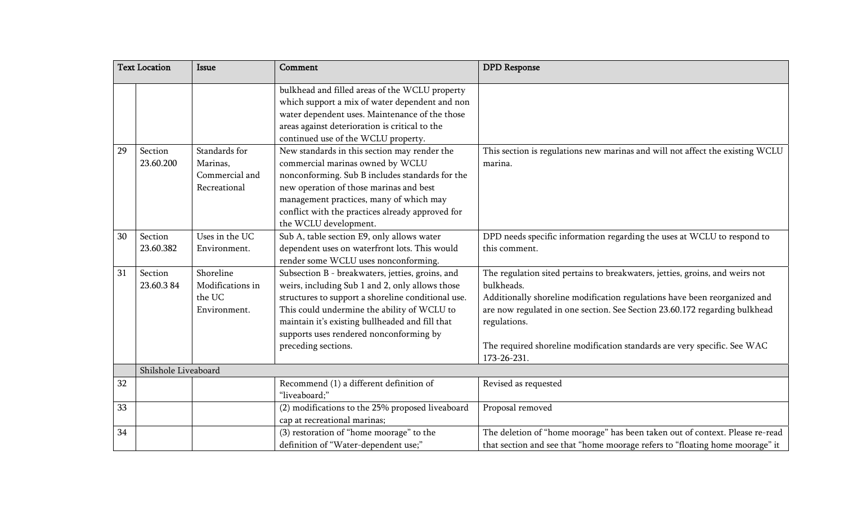|    | <b>Text Location</b> | <b>Issue</b>                                                | Comment                                                                                                                                                                                                                                                                                                                       | <b>DPD</b> Response                                                                                                                                                                                                                                                                                                                                              |
|----|----------------------|-------------------------------------------------------------|-------------------------------------------------------------------------------------------------------------------------------------------------------------------------------------------------------------------------------------------------------------------------------------------------------------------------------|------------------------------------------------------------------------------------------------------------------------------------------------------------------------------------------------------------------------------------------------------------------------------------------------------------------------------------------------------------------|
|    |                      |                                                             | bulkhead and filled areas of the WCLU property<br>which support a mix of water dependent and non<br>water dependent uses. Maintenance of the those<br>areas against deterioration is critical to the<br>continued use of the WCLU property.                                                                                   |                                                                                                                                                                                                                                                                                                                                                                  |
| 29 | Section<br>23.60.200 | Standards for<br>Marinas,<br>Commercial and<br>Recreational | New standards in this section may render the<br>commercial marinas owned by WCLU<br>nonconforming. Sub B includes standards for the<br>new operation of those marinas and best<br>management practices, many of which may<br>conflict with the practices already approved for<br>the WCLU development.                        | This section is regulations new marinas and will not affect the existing WCLU<br>marina.                                                                                                                                                                                                                                                                         |
| 30 | Section<br>23.60.382 | Uses in the UC<br>Environment.                              | Sub A, table section E9, only allows water<br>dependent uses on waterfront lots. This would<br>render some WCLU uses nonconforming.                                                                                                                                                                                           | DPD needs specific information regarding the uses at WCLU to respond to<br>this comment.                                                                                                                                                                                                                                                                         |
| 31 | Section<br>23.60.384 | Shoreline<br>Modifications in<br>the UC<br>Environment.     | Subsection B - breakwaters, jetties, groins, and<br>weirs, including Sub 1 and 2, only allows those<br>structures to support a shoreline conditional use.<br>This could undermine the ability of WCLU to<br>maintain it's existing bullheaded and fill that<br>supports uses rendered nonconforming by<br>preceding sections. | The regulation sited pertains to breakwaters, jetties, groins, and weirs not<br>bulkheads.<br>Additionally shoreline modification regulations have been reorganized and<br>are now regulated in one section. See Section 23.60.172 regarding bulkhead<br>regulations.<br>The required shoreline modification standards are very specific. See WAC<br>173-26-231. |
|    | Shilshole Liveaboard |                                                             |                                                                                                                                                                                                                                                                                                                               |                                                                                                                                                                                                                                                                                                                                                                  |
| 32 |                      |                                                             | Recommend (1) a different definition of<br>"liveaboard;"                                                                                                                                                                                                                                                                      | Revised as requested                                                                                                                                                                                                                                                                                                                                             |
| 33 |                      |                                                             | (2) modifications to the 25% proposed liveaboard<br>cap at recreational marinas;                                                                                                                                                                                                                                              | Proposal removed                                                                                                                                                                                                                                                                                                                                                 |
| 34 |                      |                                                             | (3) restoration of "home moorage" to the<br>definition of "Water-dependent use;"                                                                                                                                                                                                                                              | The deletion of "home moorage" has been taken out of context. Please re-read<br>that section and see that "home moorage refers to "floating home moorage" it                                                                                                                                                                                                     |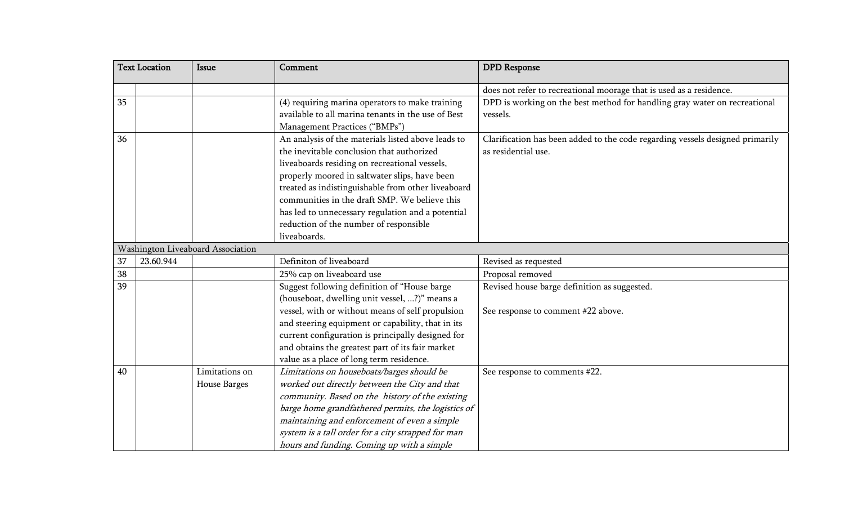|    | <b>Text Location</b> | <b>Issue</b>                      | Comment                                            | <b>DPD</b> Response                                                           |
|----|----------------------|-----------------------------------|----------------------------------------------------|-------------------------------------------------------------------------------|
|    |                      |                                   |                                                    | does not refer to recreational moorage that is used as a residence.           |
| 35 |                      |                                   | (4) requiring marina operators to make training    | DPD is working on the best method for handling gray water on recreational     |
|    |                      |                                   | available to all marina tenants in the use of Best | vessels.                                                                      |
|    |                      |                                   | Management Practices ("BMPs")                      |                                                                               |
| 36 |                      |                                   | An analysis of the materials listed above leads to | Clarification has been added to the code regarding vessels designed primarily |
|    |                      |                                   | the inevitable conclusion that authorized          | as residential use.                                                           |
|    |                      |                                   | liveaboards residing on recreational vessels,      |                                                                               |
|    |                      |                                   | properly moored in saltwater slips, have been      |                                                                               |
|    |                      |                                   | treated as indistinguishable from other liveaboard |                                                                               |
|    |                      |                                   | communities in the draft SMP. We believe this      |                                                                               |
|    |                      |                                   | has led to unnecessary regulation and a potential  |                                                                               |
|    |                      |                                   | reduction of the number of responsible             |                                                                               |
|    |                      |                                   | liveaboards.                                       |                                                                               |
|    |                      | Washington Liveaboard Association |                                                    |                                                                               |
| 37 | 23.60.944            |                                   | Definiton of liveaboard                            | Revised as requested                                                          |
| 38 |                      |                                   | 25% cap on liveaboard use                          | Proposal removed                                                              |
| 39 |                      |                                   | Suggest following definition of "House barge       | Revised house barge definition as suggested.                                  |
|    |                      |                                   | (houseboat, dwelling unit vessel, ?)" means a      |                                                                               |
|    |                      |                                   | vessel, with or without means of self propulsion   | See response to comment #22 above.                                            |
|    |                      |                                   | and steering equipment or capability, that in its  |                                                                               |
|    |                      |                                   | current configuration is principally designed for  |                                                                               |
|    |                      |                                   | and obtains the greatest part of its fair market   |                                                                               |
|    |                      |                                   | value as a place of long term residence.           |                                                                               |
| 40 |                      | Limitations on                    | Limitations on houseboats/barges should be         | See response to comments #22.                                                 |
|    |                      | House Barges                      | worked out directly between the City and that      |                                                                               |
|    |                      |                                   | community. Based on the history of the existing    |                                                                               |
|    |                      |                                   | barge home grandfathered permits, the logistics of |                                                                               |
|    |                      |                                   | maintaining and enforcement of even a simple       |                                                                               |
|    |                      |                                   | system is a tall order for a city strapped for man |                                                                               |
|    |                      |                                   | hours and funding. Coming up with a simple         |                                                                               |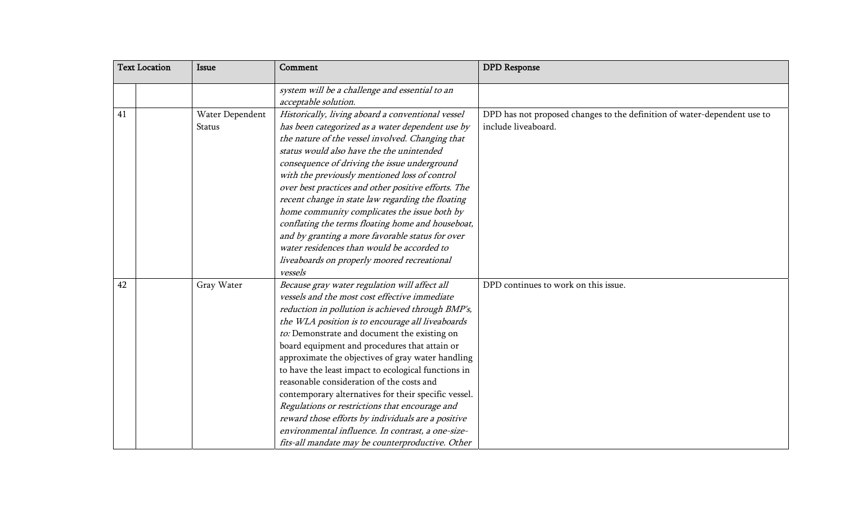|    | <b>Text Location</b> | Issue                     | Comment                                                                                                                                                                                                                                                                                                                                                                                                                                                                                                                                                                                                                                                                                                                                    | <b>DPD</b> Response                                                                             |
|----|----------------------|---------------------------|--------------------------------------------------------------------------------------------------------------------------------------------------------------------------------------------------------------------------------------------------------------------------------------------------------------------------------------------------------------------------------------------------------------------------------------------------------------------------------------------------------------------------------------------------------------------------------------------------------------------------------------------------------------------------------------------------------------------------------------------|-------------------------------------------------------------------------------------------------|
|    |                      |                           | system will be a challenge and essential to an<br>acceptable solution.                                                                                                                                                                                                                                                                                                                                                                                                                                                                                                                                                                                                                                                                     |                                                                                                 |
| 41 |                      | Water Dependent<br>Status | Historically, living aboard a conventional vessel<br>has been categorized as a water dependent use by<br>the nature of the vessel involved. Changing that<br>status would also have the the unintended<br>consequence of driving the issue underground<br>with the previously mentioned loss of control<br>over best practices and other positive efforts. The<br>recent change in state law regarding the floating<br>home community complicates the issue both by<br>conflating the terms floating home and houseboat,<br>and by granting a more favorable status for over<br>water residences than would be accorded to<br>liveaboards on properly moored recreational<br>vessels                                                       | DPD has not proposed changes to the definition of water-dependent use to<br>include liveaboard. |
| 42 |                      | Gray Water                | Because gray water regulation will affect all<br>vessels and the most cost effective immediate<br>reduction in pollution is achieved through BMP's,<br>the WLA position is to encourage all liveaboards<br>to: Demonstrate and document the existing on<br>board equipment and procedures that attain or<br>approximate the objectives of gray water handling<br>to have the least impact to ecological functions in<br>reasonable consideration of the costs and<br>contemporary alternatives for their specific vessel.<br>Regulations or restrictions that encourage and<br>reward those efforts by individuals are a positive<br>environmental influence. In contrast, a one-size-<br>fits-all mandate may be counterproductive. Other | DPD continues to work on this issue.                                                            |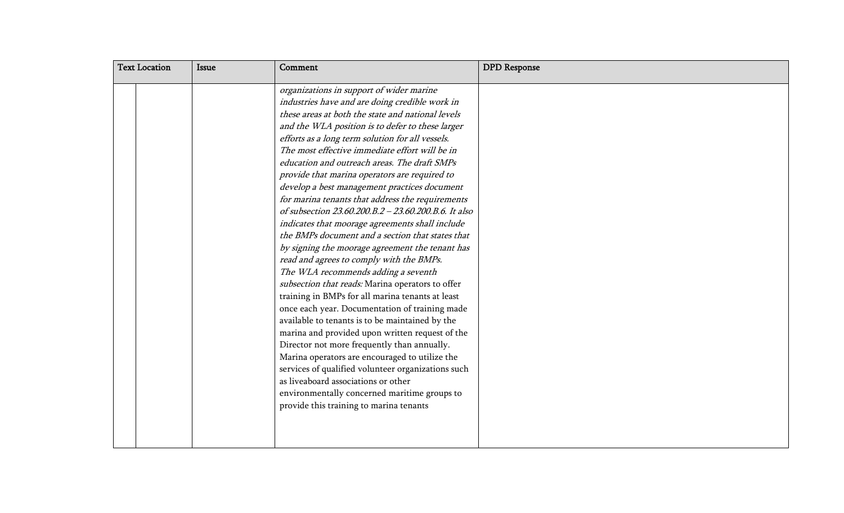| <b>Text Location</b> | <b>Issue</b> | Comment                                                                                                                                                                                                                                                                                                                                                                                                                                                                                                                                                                                                                                                                                                                                                                                            | <b>DPD</b> Response |
|----------------------|--------------|----------------------------------------------------------------------------------------------------------------------------------------------------------------------------------------------------------------------------------------------------------------------------------------------------------------------------------------------------------------------------------------------------------------------------------------------------------------------------------------------------------------------------------------------------------------------------------------------------------------------------------------------------------------------------------------------------------------------------------------------------------------------------------------------------|---------------------|
|                      |              | organizations in support of wider marine<br>industries have and are doing credible work in<br>these areas at both the state and national levels                                                                                                                                                                                                                                                                                                                                                                                                                                                                                                                                                                                                                                                    |                     |
|                      |              | and the WLA position is to defer to these larger<br>efforts as a long term solution for all vessels.<br>The most effective immediate effort will be in<br>education and outreach areas. The draft SMPs<br>provide that marina operators are required to<br>develop a best management practices document<br>for marina tenants that address the requirements<br>of subsection 23.60.200.B.2 - 23.60.200.B.6. It also                                                                                                                                                                                                                                                                                                                                                                                |                     |
|                      |              | indicates that moorage agreements shall include<br>the BMPs document and a section that states that<br>by signing the moorage agreement the tenant has<br>read and agrees to comply with the BMPs.<br>The WLA recommends adding a seventh<br>subsection that reads: Marina operators to offer<br>training in BMPs for all marina tenants at least<br>once each year. Documentation of training made<br>available to tenants is to be maintained by the<br>marina and provided upon written request of the<br>Director not more frequently than annually.<br>Marina operators are encouraged to utilize the<br>services of qualified volunteer organizations such<br>as liveaboard associations or other<br>environmentally concerned maritime groups to<br>provide this training to marina tenants |                     |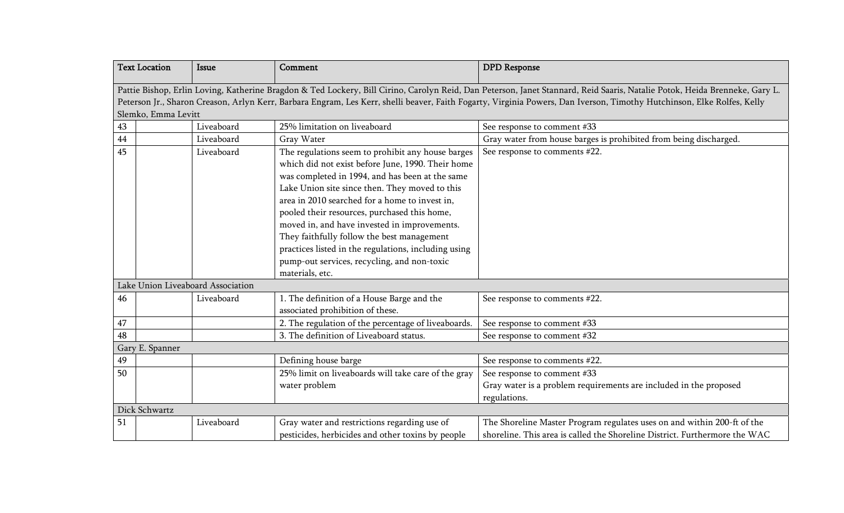|    | <b>Text Location</b>                                                                                                                                                                                                                                                                                                                                                        | <b>Issue</b> | Comment                                              | <b>DPD</b> Response                                                        |  |
|----|-----------------------------------------------------------------------------------------------------------------------------------------------------------------------------------------------------------------------------------------------------------------------------------------------------------------------------------------------------------------------------|--------------|------------------------------------------------------|----------------------------------------------------------------------------|--|
|    | Pattie Bishop, Erlin Loving, Katherine Bragdon & Ted Lockery, Bill Cirino, Carolyn Reid, Dan Peterson, Janet Stannard, Reid Saaris, Natalie Potok, Heida Brenneke, Gary L.<br>Peterson Jr., Sharon Creason, Arlyn Kerr, Barbara Engram, Les Kerr, shelli beaver, Faith Fogarty, Virginia Powers, Dan Iverson, Timothy Hutchinson, Elke Rolfes, Kelly<br>Slemko, Emma Levitt |              |                                                      |                                                                            |  |
| 43 |                                                                                                                                                                                                                                                                                                                                                                             | Liveaboard   | 25% limitation on liveaboard                         | See response to comment #33                                                |  |
| 44 |                                                                                                                                                                                                                                                                                                                                                                             | Liveaboard   | Gray Water                                           | Gray water from house barges is prohibited from being discharged.          |  |
| 45 |                                                                                                                                                                                                                                                                                                                                                                             | Liveaboard   | The regulations seem to prohibit any house barges    | See response to comments #22.                                              |  |
|    |                                                                                                                                                                                                                                                                                                                                                                             |              | which did not exist before June, 1990. Their home    |                                                                            |  |
|    |                                                                                                                                                                                                                                                                                                                                                                             |              | was completed in 1994, and has been at the same      |                                                                            |  |
|    |                                                                                                                                                                                                                                                                                                                                                                             |              | Lake Union site since then. They moved to this       |                                                                            |  |
|    |                                                                                                                                                                                                                                                                                                                                                                             |              | area in 2010 searched for a home to invest in,       |                                                                            |  |
|    |                                                                                                                                                                                                                                                                                                                                                                             |              | pooled their resources, purchased this home,         |                                                                            |  |
|    |                                                                                                                                                                                                                                                                                                                                                                             |              | moved in, and have invested in improvements.         |                                                                            |  |
|    |                                                                                                                                                                                                                                                                                                                                                                             |              | They faithfully follow the best management           |                                                                            |  |
|    |                                                                                                                                                                                                                                                                                                                                                                             |              | practices listed in the regulations, including using |                                                                            |  |
|    |                                                                                                                                                                                                                                                                                                                                                                             |              | pump-out services, recycling, and non-toxic          |                                                                            |  |
|    |                                                                                                                                                                                                                                                                                                                                                                             |              | materials, etc.                                      |                                                                            |  |
|    | Lake Union Liveaboard Association                                                                                                                                                                                                                                                                                                                                           |              |                                                      |                                                                            |  |
| 46 |                                                                                                                                                                                                                                                                                                                                                                             | Liveaboard   | 1. The definition of a House Barge and the           | See response to comments #22.                                              |  |
|    |                                                                                                                                                                                                                                                                                                                                                                             |              | associated prohibition of these.                     |                                                                            |  |
| 47 |                                                                                                                                                                                                                                                                                                                                                                             |              | 2. The regulation of the percentage of liveaboards.  | See response to comment #33                                                |  |
| 48 |                                                                                                                                                                                                                                                                                                                                                                             |              | 3. The definition of Liveaboard status.              | See response to comment #32                                                |  |
|    | Gary E. Spanner                                                                                                                                                                                                                                                                                                                                                             |              |                                                      |                                                                            |  |
| 49 |                                                                                                                                                                                                                                                                                                                                                                             |              | Defining house barge                                 | See response to comments #22.                                              |  |
| 50 |                                                                                                                                                                                                                                                                                                                                                                             |              | 25% limit on liveaboards will take care of the gray  | See response to comment #33                                                |  |
|    |                                                                                                                                                                                                                                                                                                                                                                             |              | water problem                                        | Gray water is a problem requirements are included in the proposed          |  |
|    |                                                                                                                                                                                                                                                                                                                                                                             |              |                                                      | regulations.                                                               |  |
|    | Dick Schwartz                                                                                                                                                                                                                                                                                                                                                               |              |                                                      |                                                                            |  |
| 51 |                                                                                                                                                                                                                                                                                                                                                                             | Liveaboard   | Gray water and restrictions regarding use of         | The Shoreline Master Program regulates uses on and within 200-ft of the    |  |
|    |                                                                                                                                                                                                                                                                                                                                                                             |              | pesticides, herbicides and other toxins by people    | shoreline. This area is called the Shoreline District. Furthermore the WAC |  |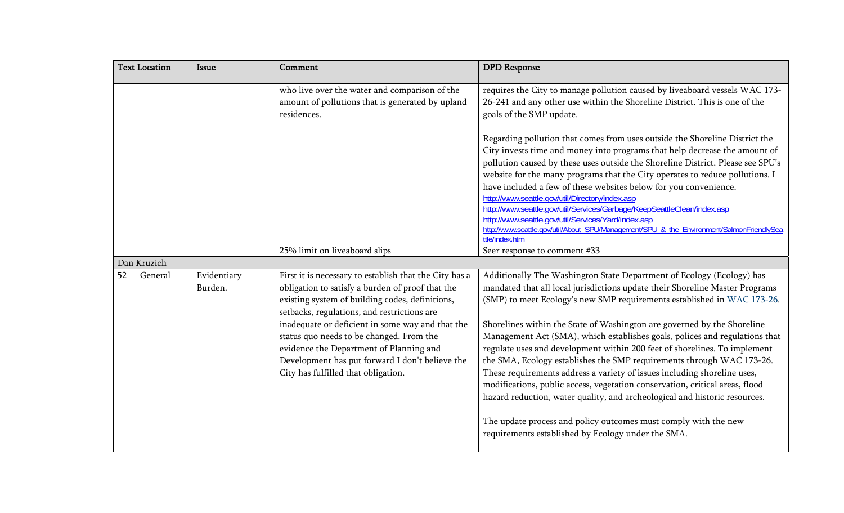| <b>Issue</b> | Comment                                                                                                                                                                                                                                                                                                                                                                                 | <b>DPD</b> Response                                                                                                                                                                                                                                                                                                                                                                                                                                                                                                                                                                                                                                                                                                                                                                                                                                                                                                 |
|--------------|-----------------------------------------------------------------------------------------------------------------------------------------------------------------------------------------------------------------------------------------------------------------------------------------------------------------------------------------------------------------------------------------|---------------------------------------------------------------------------------------------------------------------------------------------------------------------------------------------------------------------------------------------------------------------------------------------------------------------------------------------------------------------------------------------------------------------------------------------------------------------------------------------------------------------------------------------------------------------------------------------------------------------------------------------------------------------------------------------------------------------------------------------------------------------------------------------------------------------------------------------------------------------------------------------------------------------|
|              | who live over the water and comparison of the<br>amount of pollutions that is generated by upland<br>residences.                                                                                                                                                                                                                                                                        | requires the City to manage pollution caused by liveaboard vessels WAC 173-<br>26-241 and any other use within the Shoreline District. This is one of the<br>goals of the SMP update.                                                                                                                                                                                                                                                                                                                                                                                                                                                                                                                                                                                                                                                                                                                               |
|              |                                                                                                                                                                                                                                                                                                                                                                                         | Regarding pollution that comes from uses outside the Shoreline District the<br>City invests time and money into programs that help decrease the amount of<br>pollution caused by these uses outside the Shoreline District. Please see SPU's<br>website for the many programs that the City operates to reduce pollutions. I<br>have included a few of these websites below for you convenience.<br>http://www.seattle.gov/util/Directory/index.asp<br>http://www.seattle.gov/util/Services/Garbage/KeepSeattleClean/index.asp<br>http://www.seattle.gov/util/Services/Yard/index.asp<br>http://www.seattle.gov/util/About_SPU/Management/SPU_&_the_Environment/SalmonFriendlySea<br>ttle/index.htm                                                                                                                                                                                                                 |
|              | 25% limit on liveaboard slips                                                                                                                                                                                                                                                                                                                                                           | Seer response to comment #33                                                                                                                                                                                                                                                                                                                                                                                                                                                                                                                                                                                                                                                                                                                                                                                                                                                                                        |
|              |                                                                                                                                                                                                                                                                                                                                                                                         |                                                                                                                                                                                                                                                                                                                                                                                                                                                                                                                                                                                                                                                                                                                                                                                                                                                                                                                     |
| Burden.      | obligation to satisfy a burden of proof that the<br>existing system of building codes, definitions,<br>setbacks, regulations, and restrictions are<br>inadequate or deficient in some way and that the<br>status quo needs to be changed. From the<br>evidence the Department of Planning and<br>Development has put forward I don't believe the<br>City has fulfilled that obligation. | Additionally The Washington State Department of Ecology (Ecology) has<br>mandated that all local jurisdictions update their Shoreline Master Programs<br>(SMP) to meet Ecology's new SMP requirements established in WAC 173-26.<br>Shorelines within the State of Washington are governed by the Shoreline<br>Management Act (SMA), which establishes goals, polices and regulations that<br>regulate uses and development within 200 feet of shorelines. To implement<br>the SMA, Ecology establishes the SMP requirements through WAC 173-26.<br>These requirements address a variety of issues including shoreline uses,<br>modifications, public access, vegetation conservation, critical areas, flood<br>hazard reduction, water quality, and archeological and historic resources.<br>The update process and policy outcomes must comply with the new<br>requirements established by Ecology under the SMA. |
|              | Evidentiary                                                                                                                                                                                                                                                                                                                                                                             | First it is necessary to establish that the City has a                                                                                                                                                                                                                                                                                                                                                                                                                                                                                                                                                                                                                                                                                                                                                                                                                                                              |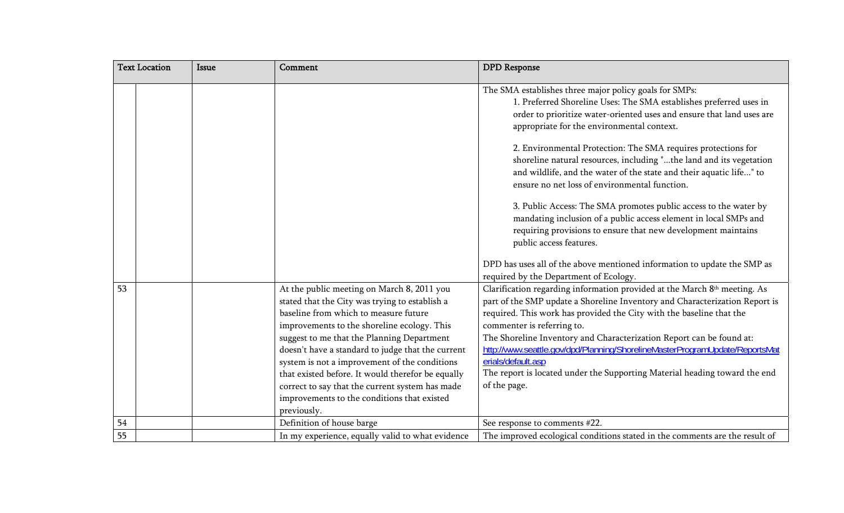|                 | <b>Text Location</b> | <b>Issue</b> | Comment                                                                                                                                                                                                                                                                                                                                                                                                                                                                                                        | <b>DPD</b> Response                                                                                                                                                                                                                                                                                                                                                                                                                                                                                                                       |
|-----------------|----------------------|--------------|----------------------------------------------------------------------------------------------------------------------------------------------------------------------------------------------------------------------------------------------------------------------------------------------------------------------------------------------------------------------------------------------------------------------------------------------------------------------------------------------------------------|-------------------------------------------------------------------------------------------------------------------------------------------------------------------------------------------------------------------------------------------------------------------------------------------------------------------------------------------------------------------------------------------------------------------------------------------------------------------------------------------------------------------------------------------|
|                 |                      |              |                                                                                                                                                                                                                                                                                                                                                                                                                                                                                                                | The SMA establishes three major policy goals for SMPs:<br>1. Preferred Shoreline Uses: The SMA establishes preferred uses in<br>order to prioritize water-oriented uses and ensure that land uses are<br>appropriate for the environmental context.                                                                                                                                                                                                                                                                                       |
|                 |                      |              |                                                                                                                                                                                                                                                                                                                                                                                                                                                                                                                | 2. Environmental Protection: The SMA requires protections for<br>shoreline natural resources, including "the land and its vegetation<br>and wildlife, and the water of the state and their aquatic life" to<br>ensure no net loss of environmental function.                                                                                                                                                                                                                                                                              |
|                 |                      |              |                                                                                                                                                                                                                                                                                                                                                                                                                                                                                                                | 3. Public Access: The SMA promotes public access to the water by<br>mandating inclusion of a public access element in local SMPs and<br>requiring provisions to ensure that new development maintains<br>public access features.                                                                                                                                                                                                                                                                                                          |
|                 |                      |              |                                                                                                                                                                                                                                                                                                                                                                                                                                                                                                                | DPD has uses all of the above mentioned information to update the SMP as<br>required by the Department of Ecology.                                                                                                                                                                                                                                                                                                                                                                                                                        |
| 53              |                      |              | At the public meeting on March 8, 2011 you<br>stated that the City was trying to establish a<br>baseline from which to measure future<br>improvements to the shoreline ecology. This<br>suggest to me that the Planning Department<br>doesn't have a standard to judge that the current<br>system is not a improvement of the conditions<br>that existed before. It would therefor be equally<br>correct to say that the current system has made<br>improvements to the conditions that existed<br>previously. | Clarification regarding information provided at the March 8th meeting. As<br>part of the SMP update a Shoreline Inventory and Characterization Report is<br>required. This work has provided the City with the baseline that the<br>commenter is referring to.<br>The Shoreline Inventory and Characterization Report can be found at:<br>http://www.seattle.gov/dpd/Planning/ShorelineMasterProgramUpdate/ReportsMat<br>erials/default.asp<br>The report is located under the Supporting Material heading toward the end<br>of the page. |
| 54              |                      |              | Definition of house barge                                                                                                                                                                                                                                                                                                                                                                                                                                                                                      | See response to comments #22.                                                                                                                                                                                                                                                                                                                                                                                                                                                                                                             |
| $\overline{55}$ |                      |              | In my experience, equally valid to what evidence                                                                                                                                                                                                                                                                                                                                                                                                                                                               | The improved ecological conditions stated in the comments are the result of                                                                                                                                                                                                                                                                                                                                                                                                                                                               |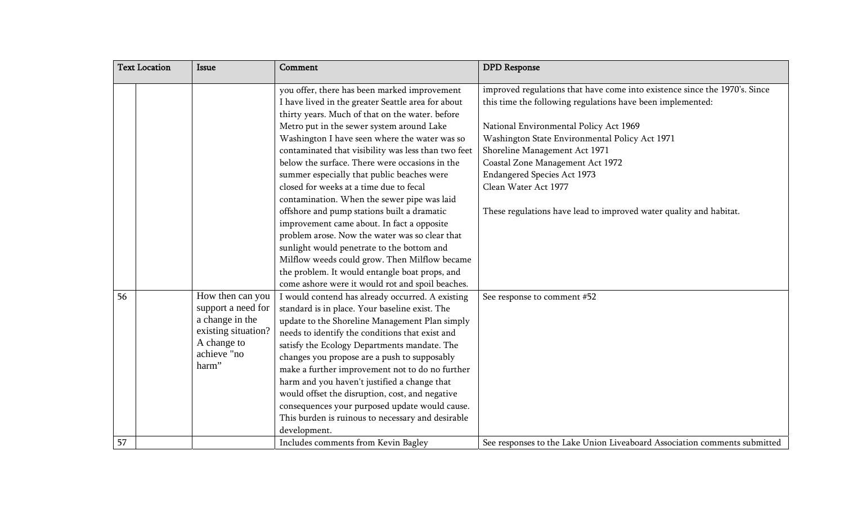|    | <b>Text Location</b> | <b>Issue</b>                                                                                                            | Comment                                                                                                                                                                                                                                                                                                                                                                                                                                                                                                                                                                              | <b>DPD</b> Response                                                                                                                                                                                                                                                                                                                             |
|----|----------------------|-------------------------------------------------------------------------------------------------------------------------|--------------------------------------------------------------------------------------------------------------------------------------------------------------------------------------------------------------------------------------------------------------------------------------------------------------------------------------------------------------------------------------------------------------------------------------------------------------------------------------------------------------------------------------------------------------------------------------|-------------------------------------------------------------------------------------------------------------------------------------------------------------------------------------------------------------------------------------------------------------------------------------------------------------------------------------------------|
|    |                      |                                                                                                                         | you offer, there has been marked improvement<br>I have lived in the greater Seattle area for about<br>thirty years. Much of that on the water. before<br>Metro put in the sewer system around Lake<br>Washington I have seen where the water was so<br>contaminated that visibility was less than two feet<br>below the surface. There were occasions in the<br>summer especially that public beaches were                                                                                                                                                                           | improved regulations that have come into existence since the 1970's. Since<br>this time the following regulations have been implemented:<br>National Environmental Policy Act 1969<br>Washington State Environmental Policy Act 1971<br>Shoreline Management Act 1971<br>Coastal Zone Management Act 1972<br><b>Endangered Species Act 1973</b> |
|    |                      |                                                                                                                         | closed for weeks at a time due to fecal<br>contamination. When the sewer pipe was laid<br>offshore and pump stations built a dramatic<br>improvement came about. In fact a opposite<br>problem arose. Now the water was so clear that<br>sunlight would penetrate to the bottom and<br>Milflow weeds could grow. Then Milflow became<br>the problem. It would entangle boat props, and<br>come ashore were it would rot and spoil beaches.                                                                                                                                           | Clean Water Act 1977<br>These regulations have lead to improved water quality and habitat.                                                                                                                                                                                                                                                      |
| 56 |                      | How then can you<br>support a need for<br>a change in the<br>existing situation?<br>A change to<br>achieve "no<br>harm" | I would contend has already occurred. A existing<br>standard is in place. Your baseline exist. The<br>update to the Shoreline Management Plan simply<br>needs to identify the conditions that exist and<br>satisfy the Ecology Departments mandate. The<br>changes you propose are a push to supposably<br>make a further improvement not to do no further<br>harm and you haven't justified a change that<br>would offset the disruption, cost, and negative<br>consequences your purposed update would cause.<br>This burden is ruinous to necessary and desirable<br>development. | See response to comment #52                                                                                                                                                                                                                                                                                                                     |
| 57 |                      |                                                                                                                         | Includes comments from Kevin Bagley                                                                                                                                                                                                                                                                                                                                                                                                                                                                                                                                                  | See responses to the Lake Union Liveaboard Association comments submitted                                                                                                                                                                                                                                                                       |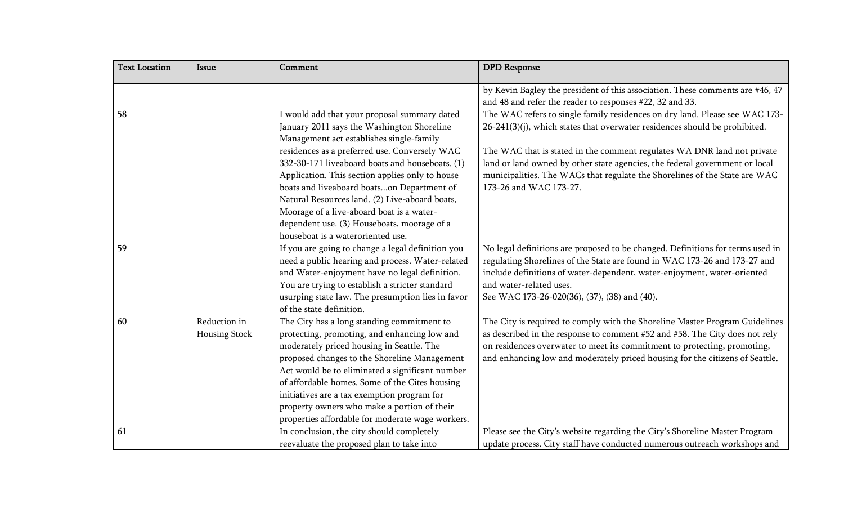|    | <b>Text Location</b> | <b>Issue</b>                         | Comment                                                                                                                                                                                                                                                                                                                                                                                                                                                                                                                        | <b>DPD</b> Response                                                                                                                                                                                                                                                                                                                                                                                                         |
|----|----------------------|--------------------------------------|--------------------------------------------------------------------------------------------------------------------------------------------------------------------------------------------------------------------------------------------------------------------------------------------------------------------------------------------------------------------------------------------------------------------------------------------------------------------------------------------------------------------------------|-----------------------------------------------------------------------------------------------------------------------------------------------------------------------------------------------------------------------------------------------------------------------------------------------------------------------------------------------------------------------------------------------------------------------------|
|    |                      |                                      |                                                                                                                                                                                                                                                                                                                                                                                                                                                                                                                                | by Kevin Bagley the president of this association. These comments are #46, 47<br>and 48 and refer the reader to responses #22, 32 and 33.                                                                                                                                                                                                                                                                                   |
| 58 |                      |                                      | I would add that your proposal summary dated<br>January 2011 says the Washington Shoreline<br>Management act establishes single-family<br>residences as a preferred use. Conversely WAC<br>332-30-171 liveaboard boats and houseboats. (1)<br>Application. This section applies only to house<br>boats and liveaboard boatson Department of<br>Natural Resources land. (2) Live-aboard boats,<br>Moorage of a live-aboard boat is a water-<br>dependent use. (3) Houseboats, moorage of a<br>houseboat is a wateroriented use. | The WAC refers to single family residences on dry land. Please see WAC 173-<br>26-241(3)(j), which states that overwater residences should be prohibited.<br>The WAC that is stated in the comment regulates WA DNR land not private<br>land or land owned by other state agencies, the federal government or local<br>municipalities. The WACs that regulate the Shorelines of the State are WAC<br>173-26 and WAC 173-27. |
| 59 |                      |                                      | If you are going to change a legal definition you<br>need a public hearing and process. Water-related<br>and Water-enjoyment have no legal definition.<br>You are trying to establish a stricter standard<br>usurping state law. The presumption lies in favor<br>of the state definition.                                                                                                                                                                                                                                     | No legal definitions are proposed to be changed. Definitions for terms used in<br>regulating Shorelines of the State are found in WAC 173-26 and 173-27 and<br>include definitions of water-dependent, water-enjoyment, water-oriented<br>and water-related uses.<br>See WAC 173-26-020(36), (37), (38) and (40).                                                                                                           |
| 60 |                      | Reduction in<br><b>Housing Stock</b> | The City has a long standing commitment to<br>protecting, promoting, and enhancing low and<br>moderately priced housing in Seattle. The<br>proposed changes to the Shoreline Management<br>Act would be to eliminated a significant number<br>of affordable homes. Some of the Cites housing<br>initiatives are a tax exemption program for<br>property owners who make a portion of their<br>properties affordable for moderate wage workers.                                                                                 | The City is required to comply with the Shoreline Master Program Guidelines<br>as described in the response to comment #52 and #58. The City does not rely<br>on residences overwater to meet its commitment to protecting, promoting,<br>and enhancing low and moderately priced housing for the citizens of Seattle.                                                                                                      |
| 61 |                      |                                      | In conclusion, the city should completely<br>reevaluate the proposed plan to take into                                                                                                                                                                                                                                                                                                                                                                                                                                         | Please see the City's website regarding the City's Shoreline Master Program<br>update process. City staff have conducted numerous outreach workshops and                                                                                                                                                                                                                                                                    |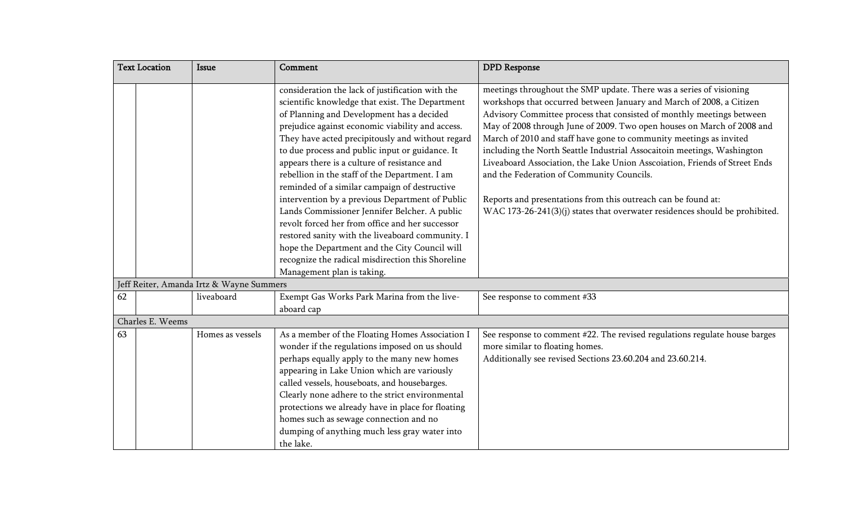|    | <b>Text Location</b> | <b>Issue</b>                             | Comment                                                                                                                                                                                                                                                                                                                                                                                                                                                                                                                                                                                                                                                                                                                    | <b>DPD</b> Response                                                                                                                                                                                                                                                                                                                                                                                                                                                                                                                                                                                                                                                                                                        |
|----|----------------------|------------------------------------------|----------------------------------------------------------------------------------------------------------------------------------------------------------------------------------------------------------------------------------------------------------------------------------------------------------------------------------------------------------------------------------------------------------------------------------------------------------------------------------------------------------------------------------------------------------------------------------------------------------------------------------------------------------------------------------------------------------------------------|----------------------------------------------------------------------------------------------------------------------------------------------------------------------------------------------------------------------------------------------------------------------------------------------------------------------------------------------------------------------------------------------------------------------------------------------------------------------------------------------------------------------------------------------------------------------------------------------------------------------------------------------------------------------------------------------------------------------------|
|    |                      |                                          | consideration the lack of justification with the<br>scientific knowledge that exist. The Department<br>of Planning and Development has a decided<br>prejudice against economic viability and access.<br>They have acted precipitously and without regard<br>to due process and public input or guidance. It<br>appears there is a culture of resistance and<br>rebellion in the staff of the Department. I am<br>reminded of a similar campaign of destructive<br>intervention by a previous Department of Public<br>Lands Commissioner Jennifer Belcher. A public<br>revolt forced her from office and her successor<br>restored sanity with the liveaboard community. I<br>hope the Department and the City Council will | meetings throughout the SMP update. There was a series of visioning<br>workshops that occurred between January and March of 2008, a Citizen<br>Advisory Committee process that consisted of monthly meetings between<br>May of 2008 through June of 2009. Two open houses on March of 2008 and<br>March of 2010 and staff have gone to community meetings as invited<br>including the North Seattle Industrial Assocaitoin meetings, Washington<br>Liveaboard Association, the Lake Union Asscoiation, Friends of Street Ends<br>and the Federation of Community Councils.<br>Reports and presentations from this outreach can be found at:<br>WAC 173-26-241(3)(j) states that overwater residences should be prohibited. |
|    |                      |                                          | recognize the radical misdirection this Shoreline<br>Management plan is taking.                                                                                                                                                                                                                                                                                                                                                                                                                                                                                                                                                                                                                                            |                                                                                                                                                                                                                                                                                                                                                                                                                                                                                                                                                                                                                                                                                                                            |
|    |                      | Jeff Reiter, Amanda Irtz & Wayne Summers |                                                                                                                                                                                                                                                                                                                                                                                                                                                                                                                                                                                                                                                                                                                            |                                                                                                                                                                                                                                                                                                                                                                                                                                                                                                                                                                                                                                                                                                                            |
| 62 |                      | liveaboard                               | Exempt Gas Works Park Marina from the live-<br>aboard cap                                                                                                                                                                                                                                                                                                                                                                                                                                                                                                                                                                                                                                                                  | See response to comment #33                                                                                                                                                                                                                                                                                                                                                                                                                                                                                                                                                                                                                                                                                                |
|    | Charles E. Weems     |                                          |                                                                                                                                                                                                                                                                                                                                                                                                                                                                                                                                                                                                                                                                                                                            |                                                                                                                                                                                                                                                                                                                                                                                                                                                                                                                                                                                                                                                                                                                            |
| 63 |                      | Homes as vessels                         | As a member of the Floating Homes Association I<br>wonder if the regulations imposed on us should<br>perhaps equally apply to the many new homes<br>appearing in Lake Union which are variously<br>called vessels, houseboats, and housebarges.<br>Clearly none adhere to the strict environmental<br>protections we already have in place for floating<br>homes such as sewage connection and no<br>dumping of anything much less gray water into<br>the lake.                                                                                                                                                                                                                                                            | See response to comment #22. The revised regulations regulate house barges<br>more similar to floating homes.<br>Additionally see revised Sections 23.60.204 and 23.60.214.                                                                                                                                                                                                                                                                                                                                                                                                                                                                                                                                                |